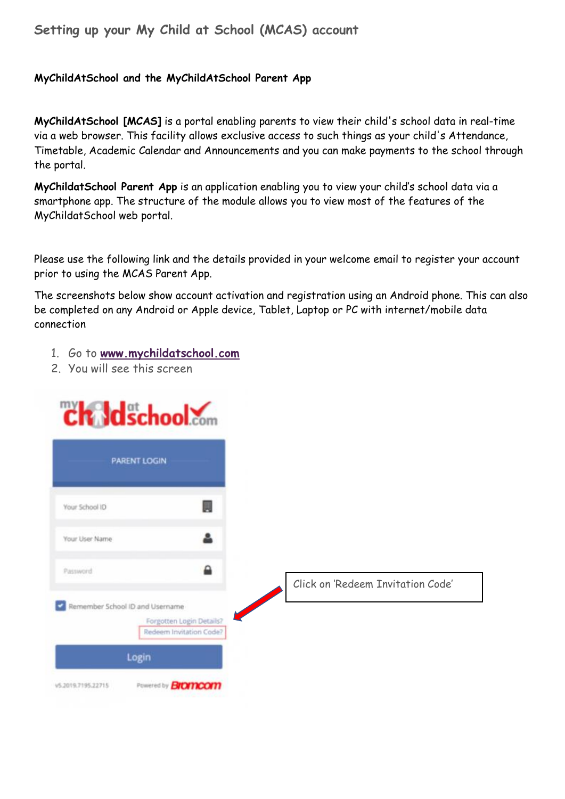## **Setting up your My Child at School (MCAS) account**

## **MyChildAtSchool and the MyChildAtSchool Parent App**

**MyChildAtSchool [MCAS]** is a portal enabling parents to view their child's school data in real-time via a web browser. This facility allows exclusive access to such things as your child's Attendance, Timetable, Academic Calendar and Announcements and you can make payments to the school through the portal.

**MyChildatSchool Parent App** is an application enabling you to view your child's school data via a smartphone app. The structure of the module allows you to view most of the features of the MyChildatSchool web portal.

Please use the following link and the details provided in your welcome email to register your account prior to using the MCAS Parent App.

The screenshots below show account activation and registration using an Android phone. This can also be completed on any Android or Apple device, Tablet, Laptop or PC with internet/mobile data connection

- 1. Go to **[www.mychildatschool.com](http://www.mychildatschool.com/)**
- 2. You will see this screen

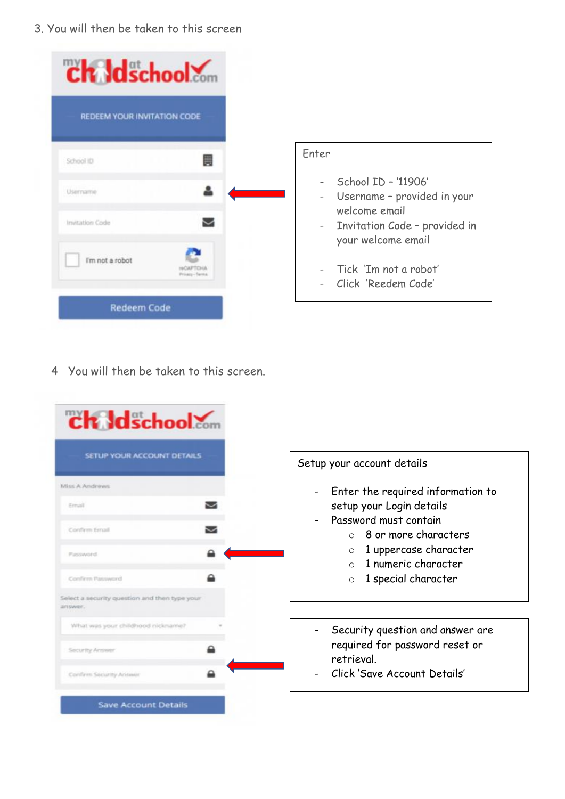3. You will then be taken to this screen

| ch Idschool                 |  |                          |                                                                     |
|-----------------------------|--|--------------------------|---------------------------------------------------------------------|
| REDEEM YOUR INVITATION CODE |  |                          |                                                                     |
| School ID                   |  | Enter                    |                                                                     |
| Username                    |  | $\overline{\phantom{a}}$ | School ID - '11906'<br>Username - provided in your<br>welcome email |
| Invitation Code             |  | $\overline{\phantom{a}}$ | Invitation Code - provided in<br>your welcome email                 |
| I'm not a robot             |  |                          | Tick 'Im not a robot'<br>- Click 'Reedem Code'                      |
| <b>Redeem Code</b>          |  |                          |                                                                     |

4 You will then be taken to this screen.

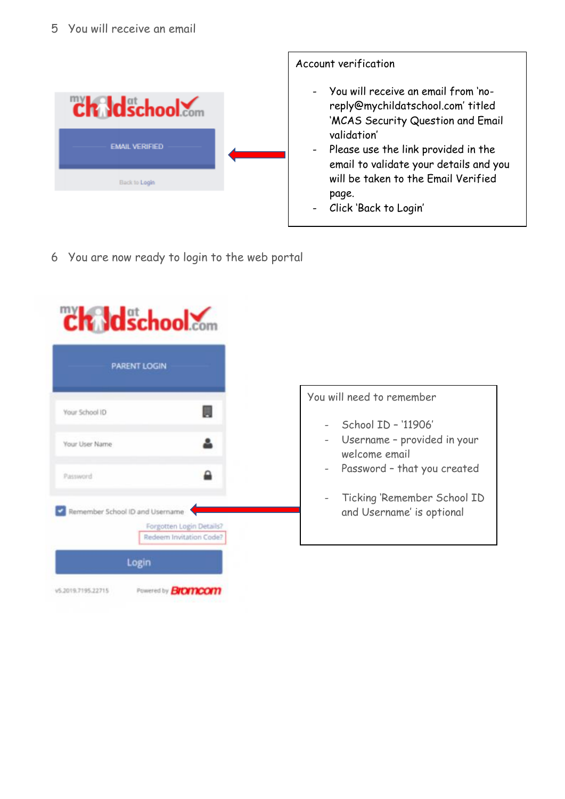## 5 You will receive an email



6 You are now ready to login to the web portal



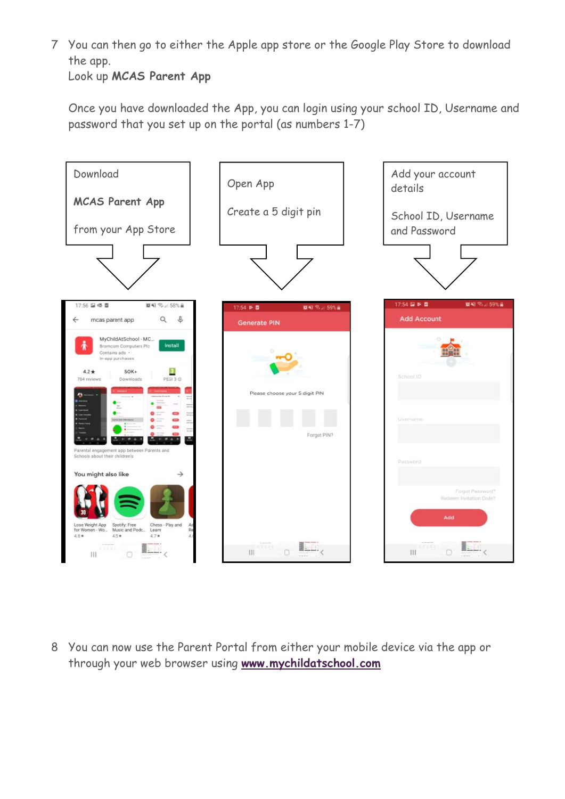7 You can then go to either the Apple app store or the Google Play Store to download the app.

Look up **MCAS Parent App**

Once you have downloaded the App, you can login using your school ID, Username and password that you set up on the portal (as numbers 1-7)



8 You can now use the Parent Portal from either your mobile device via the app or through your web browser using **[www.mychildatschool.com](http://www.mychildatschool.com/)**